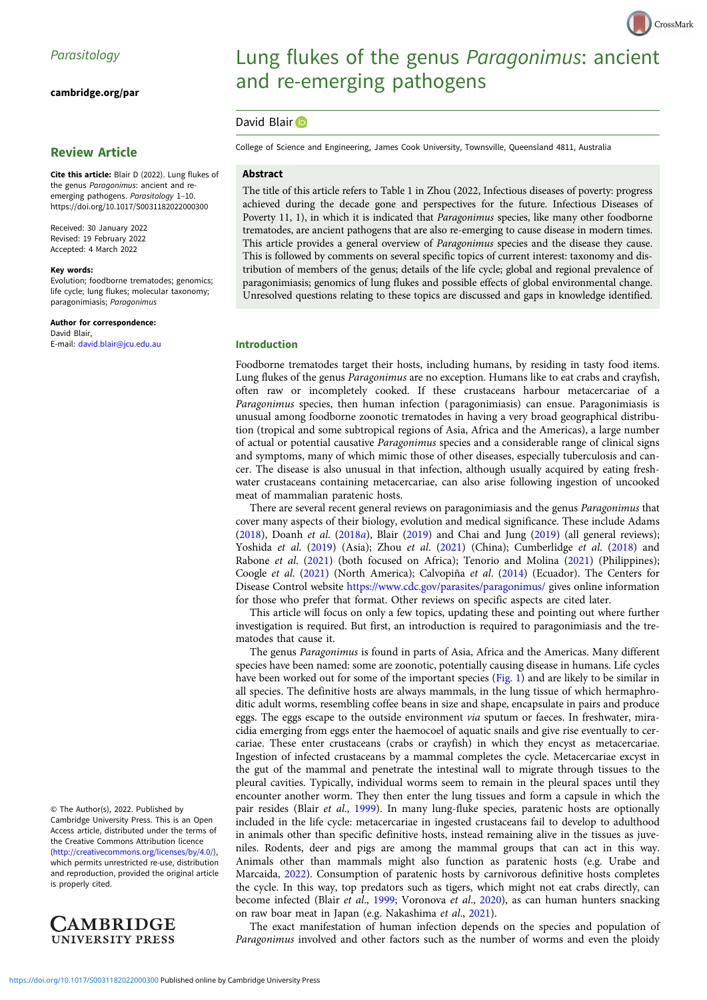[cambridge.org/par](https://www.cambridge.org/par)

# Review Article

Cite this article: Blair D (2022). Lung flukes of the genus Paragonimus: ancient and reemerging pathogens. Parasitology 1–10. <https://doi.org/10.1017/S0031182022000300>

Received: 30 January 2022 Revised: 19 February 2022 Accepted: 4 March 2022

#### Key words:

Evolution; foodborne trematodes; genomics; life cycle; lung flukes; molecular taxonomy; paragonimiasis; Paragonimus

Author for correspondence: David Blair, E-mail: [david.blair@jcu.edu.au](mailto:david.blair@jcu.edu.au)

# Lung flukes of the genus Paragonimus: ancient and re-emerging pathogens

# David Blair D

College of Science and Engineering, James Cook University, Townsville, Queensland 4811, Australia

## Abstract

The title of this article refers to Table 1 in Zhou (2022, Infectious diseases of poverty: progress achieved during the decade gone and perspectives for the future. Infectious Diseases of Poverty 11, 1), in which it is indicated that *Paragonimus* species, like many other foodborne trematodes, are ancient pathogens that are also re-emerging to cause disease in modern times. This article provides a general overview of Paragonimus species and the disease they cause. This is followed by comments on several specific topics of current interest: taxonomy and distribution of members of the genus; details of the life cycle; global and regional prevalence of paragonimiasis; genomics of lung flukes and possible effects of global environmental change. Unresolved questions relating to these topics are discussed and gaps in knowledge identified.

## Introduction

Foodborne trematodes target their hosts, including humans, by residing in tasty food items. Lung flukes of the genus *Paragonimus* are no exception. Humans like to eat crabs and crayfish, often raw or incompletely cooked. If these crustaceans harbour metacercariae of a Paragonimus species, then human infection (paragonimiasis) can ensue. Paragonimiasis is unusual among foodborne zoonotic trematodes in having a very broad geographical distribution (tropical and some subtropical regions of Asia, Africa and the Americas), a large number of actual or potential causative Paragonimus species and a considerable range of clinical signs and symptoms, many of which mimic those of other diseases, especially tuberculosis and cancer. The disease is also unusual in that infection, although usually acquired by eating freshwater crustaceans containing metacercariae, can also arise following ingestion of uncooked meat of mammalian paratenic hosts.

There are several recent general reviews on paragonimiasis and the genus Paragonimus that cover many aspects of their biology, evolution and medical significance. These include Adams ([2018\)](#page-6-0), Doanh et al. [\(2018](#page-7-0)a), Blair [\(2019\)](#page-7-0) and Chai and Jung [\(2019](#page-7-0)) (all general reviews); Yoshida et al. ([2019](#page-9-0)) (Asia); Zhou et al. ([2021](#page-9-0)) (China); Cumberlidge et al. [\(2018](#page-7-0)) and Rabone et al. ([2021](#page-8-0)) (both focused on Africa); Tenorio and Molina [\(2021\)](#page-8-0) (Philippines); Coogle et al. ([2021\)](#page-7-0) (North America); Calvopiña et al. ([2014](#page-7-0)) (Ecuador). The Centers for Disease Control website <https://www.cdc.gov/parasites/paragonimus/> gives online information for those who prefer that format. Other reviews on specific aspects are cited later.

This article will focus on only a few topics, updating these and pointing out where further investigation is required. But first, an introduction is required to paragonimiasis and the trematodes that cause it.

The genus Paragonimus is found in parts of Asia, Africa and the Americas. Many different species have been named: some are zoonotic, potentially causing disease in humans. Life cycles have been worked out for some of the important species ([Fig. 1\)](#page-1-0) and are likely to be similar in all species. The definitive hosts are always mammals, in the lung tissue of which hermaphroditic adult worms, resembling coffee beans in size and shape, encapsulate in pairs and produce eggs. The eggs escape to the outside environment via sputum or faeces. In freshwater, miracidia emerging from eggs enter the haemocoel of aquatic snails and give rise eventually to cercariae. These enter crustaceans (crabs or crayfish) in which they encyst as metacercariae. Ingestion of infected crustaceans by a mammal completes the cycle. Metacercariae excyst in the gut of the mammal and penetrate the intestinal wall to migrate through tissues to the pleural cavities. Typically, individual worms seem to remain in the pleural spaces until they encounter another worm. They then enter the lung tissues and form a capsule in which the pair resides (Blair et al., [1999\)](#page-7-0). In many lung-fluke species, paratenic hosts are optionally included in the life cycle: metacercariae in ingested crustaceans fail to develop to adulthood in animals other than specific definitive hosts, instead remaining alive in the tissues as juveniles. Rodents, deer and pigs are among the mammal groups that can act in this way. Animals other than mammals might also function as paratenic hosts (e.g. Urabe and Marcaida, [2022\)](#page-8-0). Consumption of paratenic hosts by carnivorous definitive hosts completes the cycle. In this way, top predators such as tigers, which might not eat crabs directly, can become infected (Blair et al., [1999;](#page-7-0) Voronova et al., [2020](#page-8-0)), as can human hunters snacking on raw boar meat in Japan (e.g. Nakashima et al., [2021](#page-8-0)).

The exact manifestation of human infection depends on the species and population of Paragonimus involved and other factors such as the number of worms and even the ploidy

© The Author(s), 2022. Published by Cambridge University Press. This is an Open Access article, distributed under the terms of the Creative Commons Attribution licence ([http://creativecommons.org/licenses/by/4.0/\)](http://creativecommons.org/licenses/by/4.0/), which permits unrestricted re-use, distribution and reproduction, provided the original article is properly cited.

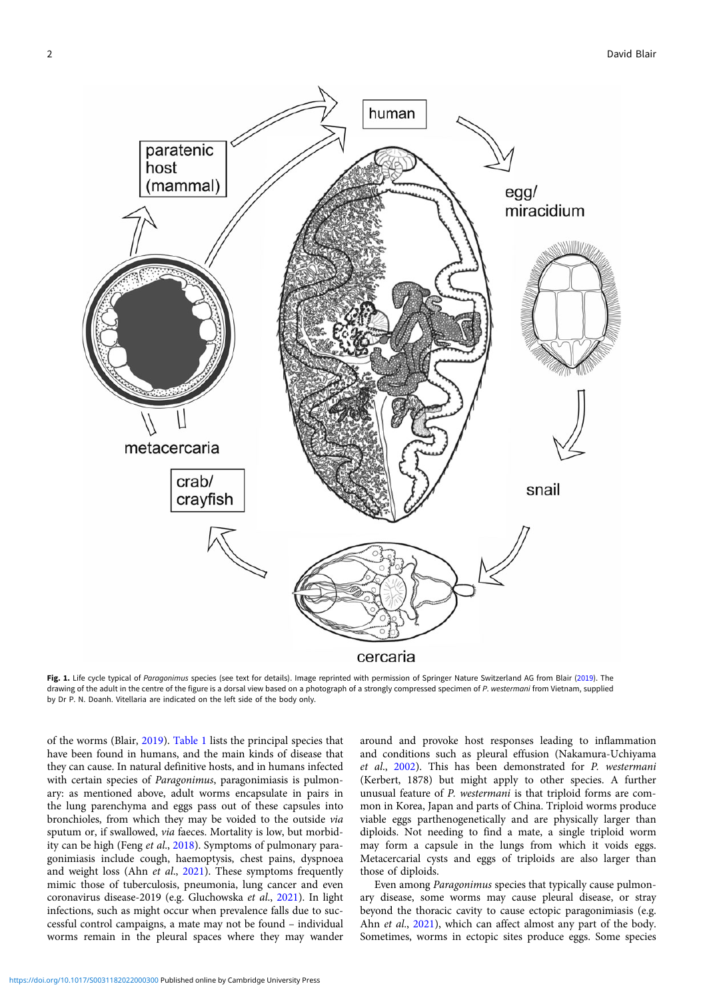<span id="page-1-0"></span>

Fig. 1. Life cycle typical of Paragonimus species (see text for details). Image reprinted with permission of Springer Nature Switzerland AG from Blair ([2019\)](#page-7-0). The drawing of the adult in the centre of the figure is a dorsal view based on a photograph of a strongly compressed specimen of P. westermani from Vietnam, supplied by Dr P. N. Doanh. Vitellaria are indicated on the left side of the body only.

of the worms (Blair, [2019\)](#page-7-0). [Table 1](#page-2-0) lists the principal species that have been found in humans, and the main kinds of disease that they can cause. In natural definitive hosts, and in humans infected with certain species of Paragonimus, paragonimiasis is pulmonary: as mentioned above, adult worms encapsulate in pairs in the lung parenchyma and eggs pass out of these capsules into bronchioles, from which they may be voided to the outside via sputum or, if swallowed, via faeces. Mortality is low, but morbidity can be high (Feng et al., [2018\)](#page-7-0). Symptoms of pulmonary paragonimiasis include cough, haemoptysis, chest pains, dyspnoea and weight loss (Ahn et al.,  $2021$ ). These symptoms frequently mimic those of tuberculosis, pneumonia, lung cancer and even coronavirus disease-2019 (e.g. Gluchowska et al., [2021](#page-7-0)). In light infections, such as might occur when prevalence falls due to successful control campaigns, a mate may not be found – individual worms remain in the pleural spaces where they may wander

around and provoke host responses leading to inflammation and conditions such as pleural effusion (Nakamura-Uchiyama et al., [2002](#page-8-0)). This has been demonstrated for P. westermani (Kerbert, 1878) but might apply to other species. A further unusual feature of P. westermani is that triploid forms are common in Korea, Japan and parts of China. Triploid worms produce viable eggs parthenogenetically and are physically larger than diploids. Not needing to find a mate, a single triploid worm may form a capsule in the lungs from which it voids eggs. Metacercarial cysts and eggs of triploids are also larger than those of diploids.

Even among Paragonimus species that typically cause pulmonary disease, some worms may cause pleural disease, or stray beyond the thoracic cavity to cause ectopic paragonimiasis (e.g. Ahn et al., [2021](#page-7-0)), which can affect almost any part of the body. Sometimes, worms in ectopic sites produce eggs. Some species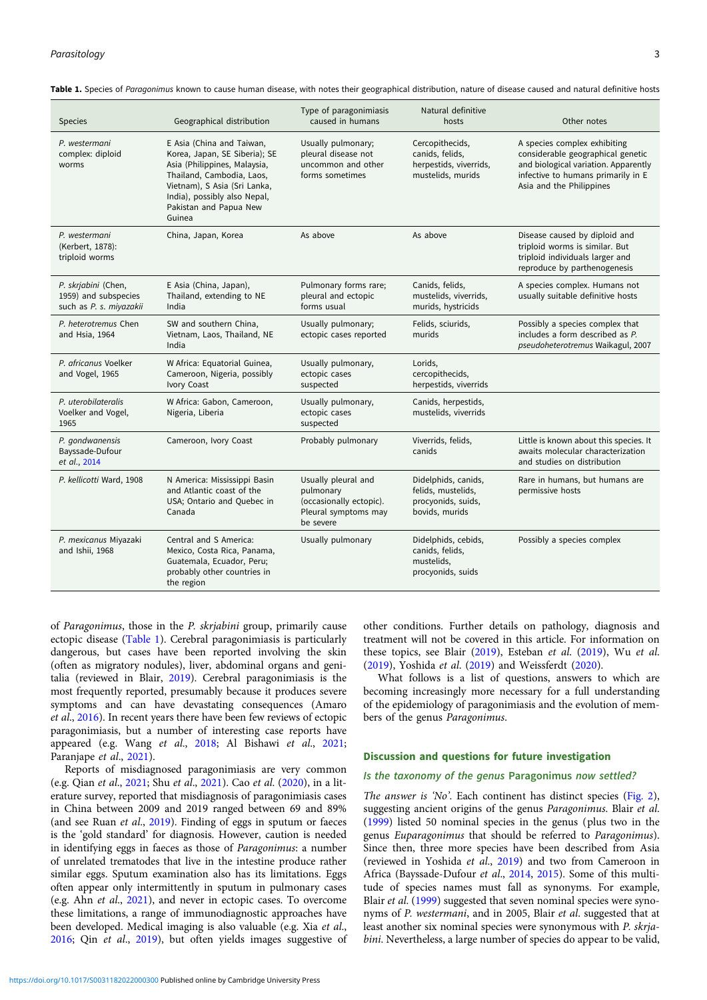| <b>Species</b>                                                         | Geographical distribution                                                                                                                                                                                                   | Type of paragonimiasis<br>caused in humans                                                       | Natural definitive<br>hosts                                                       | Other notes                                                                                                                                                                 |
|------------------------------------------------------------------------|-----------------------------------------------------------------------------------------------------------------------------------------------------------------------------------------------------------------------------|--------------------------------------------------------------------------------------------------|-----------------------------------------------------------------------------------|-----------------------------------------------------------------------------------------------------------------------------------------------------------------------------|
| P. westermani<br>complex: diploid<br>worms                             | E Asia (China and Taiwan,<br>Korea, Japan, SE Siberia); SE<br>Asia (Philippines, Malaysia,<br>Thailand, Cambodia, Laos,<br>Vietnam), S Asia (Sri Lanka,<br>India), possibly also Nepal,<br>Pakistan and Papua New<br>Guinea | Usually pulmonary;<br>pleural disease not<br>uncommon and other<br>forms sometimes               | Cercopithecids,<br>canids, felids,<br>herpestids, viverrids,<br>mustelids, murids | A species complex exhibiting<br>considerable geographical genetic<br>and biological variation. Apparently<br>infective to humans primarily in E<br>Asia and the Philippines |
| P. westermani<br>(Kerbert, 1878):<br>triploid worms                    | China, Japan, Korea                                                                                                                                                                                                         | As above                                                                                         | As above                                                                          | Disease caused by diploid and<br>triploid worms is similar. But<br>triploid individuals larger and<br>reproduce by parthenogenesis                                          |
| P. skrjabini (Chen,<br>1959) and subspecies<br>such as P. s. miyazakii | E Asia (China, Japan),<br>Thailand, extending to NE<br>India                                                                                                                                                                | Pulmonary forms rare;<br>pleural and ectopic<br>forms usual                                      | Canids, felids,<br>mustelids, viverrids,<br>murids, hystricids                    | A species complex. Humans not<br>usually suitable definitive hosts                                                                                                          |
| P. heterotremus Chen<br>and Hsia, 1964                                 | SW and southern China,<br>Vietnam, Laos, Thailand, NE<br>India                                                                                                                                                              | Usually pulmonary;<br>ectopic cases reported                                                     | Felids, sciurids,<br>murids                                                       | Possibly a species complex that<br>includes a form described as P.<br>pseudoheterotremus Waikagul, 2007                                                                     |
| P. africanus Voelker<br>and Vogel, 1965                                | W Africa: Equatorial Guinea,<br>Cameroon, Nigeria, possibly<br>Ivory Coast                                                                                                                                                  | Usually pulmonary,<br>ectopic cases<br>suspected                                                 | Lorids,<br>cercopithecids,<br>herpestids, viverrids                               |                                                                                                                                                                             |
| P. uterobilateralis<br>Voelker and Vogel,<br>1965                      | W Africa: Gabon, Cameroon,<br>Nigeria, Liberia                                                                                                                                                                              | Usually pulmonary,<br>ectopic cases<br>suspected                                                 | Canids, herpestids,<br>mustelids, viverrids                                       |                                                                                                                                                                             |
| P. gondwanensis<br>Bayssade-Dufour<br>et al., 2014                     | Cameroon, Ivory Coast                                                                                                                                                                                                       | Probably pulmonary                                                                               | Viverrids, felids,<br>canids                                                      | Little is known about this species. It<br>awaits molecular characterization<br>and studies on distribution                                                                  |
| P. kellicotti Ward, 1908                                               | N America: Mississippi Basin<br>and Atlantic coast of the<br>USA; Ontario and Quebec in<br>Canada                                                                                                                           | Usually pleural and<br>pulmonary<br>(occasionally ectopic).<br>Pleural symptoms may<br>be severe | Didelphids, canids,<br>felids, mustelids,<br>procyonids, suids,<br>bovids, murids | Rare in humans, but humans are<br>permissive hosts                                                                                                                          |
| P. mexicanus Miyazaki<br>and Ishii, 1968                               | Central and S America:<br>Mexico, Costa Rica, Panama,<br>Guatemala, Ecuador, Peru;<br>probably other countries in<br>the region                                                                                             | Usually pulmonary                                                                                | Didelphids, cebids,<br>canids, felids,<br>mustelids,<br>procyonids, suids         | Possibly a species complex                                                                                                                                                  |

<span id="page-2-0"></span>Table 1. Species of Paragonimus known to cause human disease, with notes their geographical distribution, nature of disease caused and natural definitive hosts

of Paragonimus, those in the P. skrjabini group, primarily cause ectopic disease (Table 1). Cerebral paragonimiasis is particularly dangerous, but cases have been reported involving the skin (often as migratory nodules), liver, abdominal organs and genitalia (reviewed in Blair, [2019](#page-7-0)). Cerebral paragonimiasis is the most frequently reported, presumably because it produces severe symptoms and can have devastating consequences (Amaro et al., [2016](#page-7-0)). In recent years there have been few reviews of ectopic paragonimiasis, but a number of interesting case reports have appeared (e.g. Wang et al., [2018](#page-8-0); Al Bishawi et al., [2021;](#page-7-0) Paranjape et al., [2021](#page-8-0)).

Reports of misdiagnosed paragonimiasis are very common (e.g. Qian et al., [2021;](#page-8-0) Shu et al., [2021](#page-8-0)). Cao et al. [\(2020\)](#page-7-0), in a literature survey, reported that misdiagnosis of paragonimiasis cases in China between 2009 and 2019 ranged between 69 and 89% (and see Ruan et al., [2019\)](#page-8-0). Finding of eggs in sputum or faeces is the 'gold standard' for diagnosis. However, caution is needed in identifying eggs in faeces as those of Paragonimus: a number of unrelated trematodes that live in the intestine produce rather similar eggs. Sputum examination also has its limitations. Eggs often appear only intermittently in sputum in pulmonary cases (e.g. Ahn et al., [2021\)](#page-7-0), and never in ectopic cases. To overcome these limitations, a range of immunodiagnostic approaches have been developed. Medical imaging is also valuable (e.g. Xia et al., [2016;](#page-9-0) Qin et al., [2019\)](#page-8-0), but often yields images suggestive of other conditions. Further details on pathology, diagnosis and treatment will not be covered in this article. For information on these topics, see Blair ([2019](#page-7-0)), Esteban et al. [\(2019\)](#page-7-0), Wu et al. [\(2019\)](#page-8-0), Yoshida et al. [\(2019](#page-9-0)) and Weissferdt [\(2020\)](#page-8-0).

What follows is a list of questions, answers to which are becoming increasingly more necessary for a full understanding of the epidemiology of paragonimiasis and the evolution of members of the genus Paragonimus.

#### Discussion and questions for future investigation

### Is the taxonomy of the genus Paragonimus now settled?

The answer is 'No'. Each continent has distinct species [\(Fig. 2](#page-3-0)), suggesting ancient origins of the genus Paragonimus. Blair et al. [\(1999\)](#page-7-0) listed 50 nominal species in the genus (plus two in the genus Euparagonimus that should be referred to Paragonimus). Since then, three more species have been described from Asia (reviewed in Yoshida et al., [2019](#page-9-0)) and two from Cameroon in Africa (Bayssade-Dufour et al., [2014,](#page-7-0) [2015\)](#page-7-0). Some of this multitude of species names must fall as synonyms. For example, Blair et al. ([1999](#page-7-0)) suggested that seven nominal species were synonyms of P. westermani, and in 2005, Blair et al. suggested that at least another six nominal species were synonymous with P. skrjabini. Nevertheless, a large number of species do appear to be valid,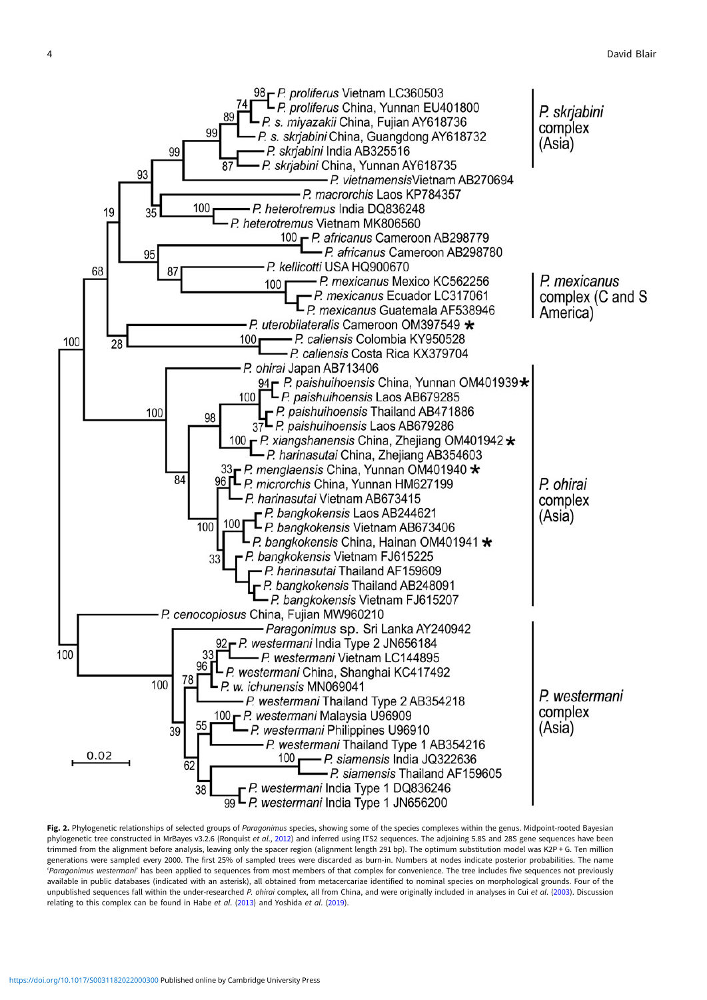<span id="page-3-0"></span>

Fig. 2. Phylogenetic relationships of selected groups of Paragonimus species, showing some of the species complexes within the genus. Midpoint-rooted Bayesian phylogenetic tree constructed in MrBayes v3.2.6 (Ronquist et al., [2012](#page-8-0)) and inferred using ITS2 sequences. The adjoining 5.8S and 28S gene sequences have been trimmed from the alignment before analysis, leaving only the spacer region (alignment length 291 bp). The optimum substitution model was K2P + G. Ten million generations were sampled every 2000. The first 25% of sampled trees were discarded as burn-in. Numbers at nodes indicate posterior probabilities. The name 'Paragonimus westermani' has been applied to sequences from most members of that complex for convenience. The tree includes five sequences not previously available in public databases (indicated with an asterisk), all obtained from metacercariae identified to nominal species on morphological grounds. Four of the unpublished sequences fall within the under-researched P. ohirai complex, all from China, and were originally included in analyses in Cui et al. [\(2003\)](#page-7-0). Discussion relating to this complex can be found in Habe et al. ([2013\)](#page-8-0) and Yoshida et al. [\(2019](#page-9-0)).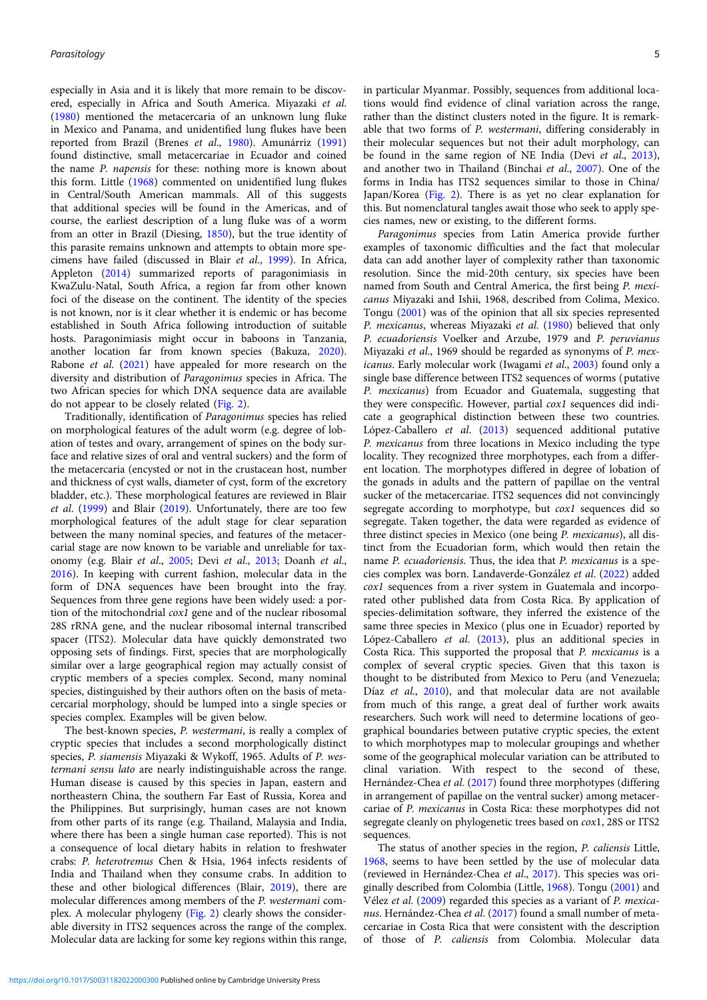especially in Asia and it is likely that more remain to be discovered, especially in Africa and South America. Miyazaki et al. ([1980](#page-8-0)) mentioned the metacercaria of an unknown lung fluke in Mexico and Panama, and unidentified lung flukes have been reported from Brazil (Brenes et al., [1980\)](#page-7-0). Amunárriz [\(1991\)](#page-7-0) found distinctive, small metacercariae in Ecuador and coined the name P. napensis for these: nothing more is known about this form. Little [\(1968\)](#page-8-0) commented on unidentified lung flukes in Central/South American mammals. All of this suggests that additional species will be found in the Americas, and of course, the earliest description of a lung fluke was of a worm from an otter in Brazil (Diesing, [1850](#page-7-0)), but the true identity of this parasite remains unknown and attempts to obtain more specimens have failed (discussed in Blair et al., [1999\)](#page-7-0). In Africa, Appleton ([2014\)](#page-7-0) summarized reports of paragonimiasis in KwaZulu-Natal, South Africa, a region far from other known foci of the disease on the continent. The identity of the species is not known, nor is it clear whether it is endemic or has become established in South Africa following introduction of suitable hosts. Paragonimiasis might occur in baboons in Tanzania, another location far from known species (Bakuza, [2020\)](#page-7-0). Rabone et al. ([2021](#page-8-0)) have appealed for more research on the diversity and distribution of Paragonimus species in Africa. The two African species for which DNA sequence data are available do not appear to be closely related [\(Fig. 2\)](#page-3-0).

Traditionally, identification of Paragonimus species has relied on morphological features of the adult worm (e.g. degree of lobation of testes and ovary, arrangement of spines on the body surface and relative sizes of oral and ventral suckers) and the form of the metacercaria (encysted or not in the crustacean host, number and thickness of cyst walls, diameter of cyst, form of the excretory bladder, etc.). These morphological features are reviewed in Blair et al. [\(1999](#page-7-0)) and Blair ([2019\)](#page-7-0). Unfortunately, there are too few morphological features of the adult stage for clear separation between the many nominal species, and features of the metacercarial stage are now known to be variable and unreliable for taxonomy (e.g. Blair et al., [2005](#page-7-0); Devi et al., [2013](#page-7-0); Doanh et al., [2016\)](#page-7-0). In keeping with current fashion, molecular data in the form of DNA sequences have been brought into the fray. Sequences from three gene regions have been widely used: a portion of the mitochondrial cox1 gene and of the nuclear ribosomal 28S rRNA gene, and the nuclear ribosomal internal transcribed spacer (ITS2). Molecular data have quickly demonstrated two opposing sets of findings. First, species that are morphologically similar over a large geographical region may actually consist of cryptic members of a species complex. Second, many nominal species, distinguished by their authors often on the basis of metacercarial morphology, should be lumped into a single species or species complex. Examples will be given below.

The best-known species, P. westermani, is really a complex of cryptic species that includes a second morphologically distinct species, P. siamensis Miyazaki & Wykoff, 1965. Adults of P. westermani sensu lato are nearly indistinguishable across the range. Human disease is caused by this species in Japan, eastern and northeastern China, the southern Far East of Russia, Korea and the Philippines. But surprisingly, human cases are not known from other parts of its range (e.g. Thailand, Malaysia and India, where there has been a single human case reported). This is not a consequence of local dietary habits in relation to freshwater crabs: P. heterotremus Chen & Hsia, 1964 infects residents of India and Thailand when they consume crabs. In addition to these and other biological differences (Blair, [2019\)](#page-7-0), there are molecular differences among members of the P. westermani complex. A molecular phylogeny ([Fig. 2](#page-3-0)) clearly shows the considerable diversity in ITS2 sequences across the range of the complex. Molecular data are lacking for some key regions within this range,

in particular Myanmar. Possibly, sequences from additional locations would find evidence of clinal variation across the range, rather than the distinct clusters noted in the figure. It is remarkable that two forms of P. westermani, differing considerably in their molecular sequences but not their adult morphology, can be found in the same region of NE India (Devi et al., [2013](#page-7-0)), and another two in Thailand (Binchai et al., [2007](#page-7-0)). One of the forms in India has ITS2 sequences similar to those in China/ Japan/Korea [\(Fig. 2](#page-3-0)). There is as yet no clear explanation for this. But nomenclatural tangles await those who seek to apply species names, new or existing, to the different forms.

Paragonimus species from Latin America provide further examples of taxonomic difficulties and the fact that molecular data can add another layer of complexity rather than taxonomic resolution. Since the mid-20th century, six species have been named from South and Central America, the first being P. mexicanus Miyazaki and Ishii, 1968, described from Colima, Mexico. Tongu ([2001\)](#page-8-0) was of the opinion that all six species represented P. mexicanus, whereas Miyazaki et al. ([1980](#page-8-0)) believed that only P. ecuadoriensis Voelker and Arzube, 1979 and P. peruvianus Miyazaki et al., 1969 should be regarded as synonyms of P. mexicanus. Early molecular work (Iwagami et al., [2003\)](#page-8-0) found only a single base difference between ITS2 sequences of worms (putative P. mexicanus) from Ecuador and Guatemala, suggesting that they were conspecific. However, partial cox1 sequences did indicate a geographical distinction between these two countries. López-Caballero et al. ([2013\)](#page-8-0) sequenced additional putative P. mexicanus from three locations in Mexico including the type locality. They recognized three morphotypes, each from a different location. The morphotypes differed in degree of lobation of the gonads in adults and the pattern of papillae on the ventral sucker of the metacercariae. ITS2 sequences did not convincingly segregate according to morphotype, but cox1 sequences did so segregate. Taken together, the data were regarded as evidence of three distinct species in Mexico (one being P. mexicanus), all distinct from the Ecuadorian form, which would then retain the name P. ecuadoriensis. Thus, the idea that P. mexicanus is a species complex was born. Landaverde-González et al. [\(2022](#page-8-0)) added cox1 sequences from a river system in Guatemala and incorporated other published data from Costa Rica. By application of species-delimitation software, they inferred the existence of the same three species in Mexico (plus one in Ecuador) reported by López-Caballero et al. ([2013](#page-8-0)), plus an additional species in Costa Rica. This supported the proposal that P. mexicanus is a complex of several cryptic species. Given that this taxon is thought to be distributed from Mexico to Peru (and Venezuela; Díaz et al., [2010\)](#page-7-0), and that molecular data are not available from much of this range, a great deal of further work awaits researchers. Such work will need to determine locations of geographical boundaries between putative cryptic species, the extent to which morphotypes map to molecular groupings and whether some of the geographical molecular variation can be attributed to clinal variation. With respect to the second of these, Hernández-Chea et al. ([2017](#page-8-0)) found three morphotypes (differing in arrangement of papillae on the ventral sucker) among metacercariae of P. mexicanus in Costa Rica: these morphotypes did not segregate cleanly on phylogenetic trees based on cox1, 28S or ITS2 sequences.

The status of another species in the region, P. caliensis Little, [1968](#page-8-0), seems to have been settled by the use of molecular data (reviewed in Hernández-Chea et al., [2017\)](#page-8-0). This species was originally described from Colombia (Little, [1968\)](#page-8-0). Tongu [\(2001\)](#page-8-0) and Vélez et al. [\(2009](#page-8-0)) regarded this species as a variant of P. mexica-nus. Hernández-Chea et al. [\(2017\)](#page-8-0) found a small number of metacercariae in Costa Rica that were consistent with the description of those of P. caliensis from Colombia. Molecular data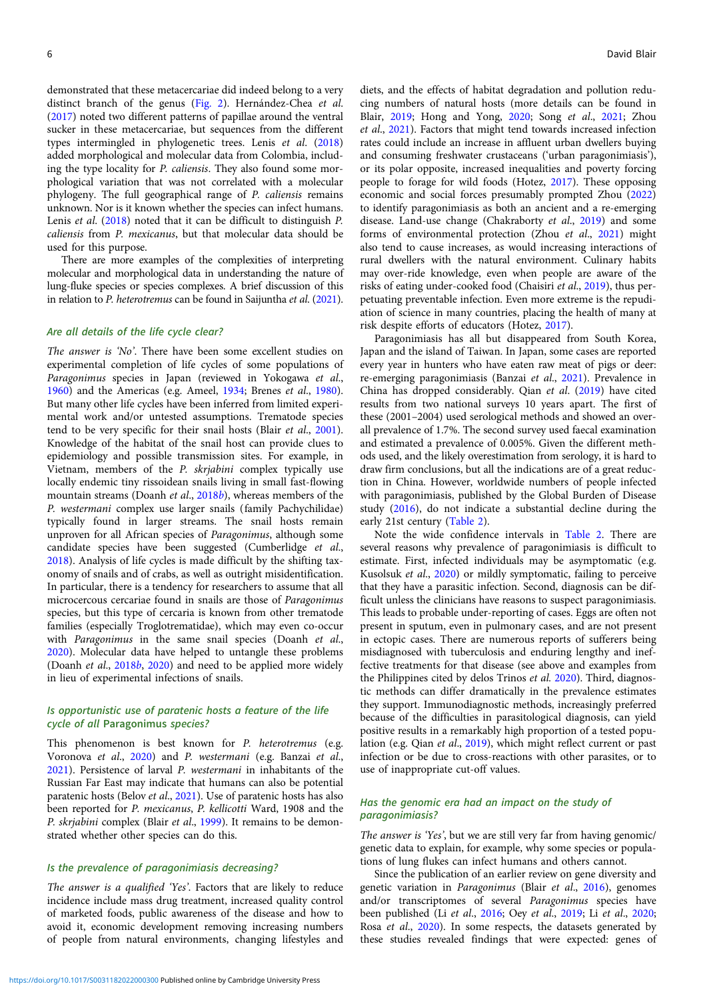demonstrated that these metacercariae did indeed belong to a very distinct branch of the genus [\(Fig. 2\)](#page-3-0). Hernández-Chea et al. ([2017](#page-8-0)) noted two different patterns of papillae around the ventral sucker in these metacercariae, but sequences from the different types intermingled in phylogenetic trees. Lenis et al. ([2018\)](#page-8-0) added morphological and molecular data from Colombia, including the type locality for P. caliensis. They also found some morphological variation that was not correlated with a molecular phylogeny. The full geographical range of P. caliensis remains unknown. Nor is it known whether the species can infect humans. Lenis et al. ([2018\)](#page-8-0) noted that it can be difficult to distinguish P. caliensis from P. mexicanus, but that molecular data should be used for this purpose.

There are more examples of the complexities of interpreting molecular and morphological data in understanding the nature of lung-fluke species or species complexes. A brief discussion of this in relation to P. heterotremus can be found in Saijuntha et al. [\(2021\)](#page-8-0).

### Are all details of the life cycle clear?

The answer is 'No'. There have been some excellent studies on experimental completion of life cycles of some populations of Paragonimus species in Japan (reviewed in Yokogawa et al., [1960\)](#page-9-0) and the Americas (e.g. Ameel, [1934;](#page-7-0) Brenes et al., [1980\)](#page-7-0). But many other life cycles have been inferred from limited experimental work and/or untested assumptions. Trematode species tend to be very specific for their snail hosts (Blair et al., [2001\)](#page-7-0). Knowledge of the habitat of the snail host can provide clues to epidemiology and possible transmission sites. For example, in Vietnam, members of the P. skrjabini complex typically use locally endemic tiny rissoidean snails living in small fast-flowing mountain streams (Doanh et al., [2018](#page-7-0)b), whereas members of the P. westermani complex use larger snails (family Pachychilidae) typically found in larger streams. The snail hosts remain unproven for all African species of Paragonimus, although some candidate species have been suggested (Cumberlidge et al., [2018\)](#page-7-0). Analysis of life cycles is made difficult by the shifting taxonomy of snails and of crabs, as well as outright misidentification. In particular, there is a tendency for researchers to assume that all microcercous cercariae found in snails are those of Paragonimus species, but this type of cercaria is known from other trematode families (especially Troglotrematidae), which may even co-occur with Paragonimus in the same snail species (Doanh et al., [2020\)](#page-7-0). Molecular data have helped to untangle these problems (Doanh et al., [2018](#page-7-0)b, [2020\)](#page-7-0) and need to be applied more widely in lieu of experimental infections of snails.

## Is opportunistic use of paratenic hosts a feature of the life cycle of all Paragonimus species?

This phenomenon is best known for P. heterotremus (e.g. Voronova et al., [2020\)](#page-8-0) and P. westermani (e.g. Banzai et al., [2021\)](#page-7-0). Persistence of larval P. westermani in inhabitants of the Russian Far East may indicate that humans can also be potential paratenic hosts (Belov et al., [2021\)](#page-7-0). Use of paratenic hosts has also been reported for P. mexicanus, P. kellicotti Ward, 1908 and the P. skrjabini complex (Blair et al., [1999\)](#page-7-0). It remains to be demonstrated whether other species can do this.

#### Is the prevalence of paragonimiasis decreasing?

The answer is a qualified 'Yes'. Factors that are likely to reduce incidence include mass drug treatment, increased quality control of marketed foods, public awareness of the disease and how to avoid it, economic development removing increasing numbers of people from natural environments, changing lifestyles and

diets, and the effects of habitat degradation and pollution reducing numbers of natural hosts (more details can be found in Blair, [2019](#page-7-0); Hong and Yong, [2020;](#page-8-0) Song et al., [2021;](#page-8-0) Zhou et al., [2021\)](#page-9-0). Factors that might tend towards increased infection rates could include an increase in affluent urban dwellers buying and consuming freshwater crustaceans ('urban paragonimiasis'), or its polar opposite, increased inequalities and poverty forcing people to forage for wild foods (Hotez, [2017](#page-8-0)). These opposing economic and social forces presumably prompted Zhou [\(2022](#page-9-0)) to identify paragonimiasis as both an ancient and a re-emerging disease. Land-use change (Chakraborty et al., [2019\)](#page-7-0) and some forms of environmental protection (Zhou et al., [2021](#page-9-0)) might also tend to cause increases, as would increasing interactions of rural dwellers with the natural environment. Culinary habits may over-ride knowledge, even when people are aware of the risks of eating under-cooked food (Chaisiri et al., [2019](#page-7-0)), thus perpetuating preventable infection. Even more extreme is the repudiation of science in many countries, placing the health of many at risk despite efforts of educators (Hotez, [2017](#page-8-0)).

Paragonimiasis has all but disappeared from South Korea, Japan and the island of Taiwan. In Japan, some cases are reported every year in hunters who have eaten raw meat of pigs or deer: re-emerging paragonimiasis (Banzai et al., [2021](#page-7-0)). Prevalence in China has dropped considerably. Qian et al. ([2019\)](#page-8-0) have cited results from two national surveys 10 years apart. The first of these (2001–2004) used serological methods and showed an overall prevalence of 1.7%. The second survey used faecal examination and estimated a prevalence of 0.005%. Given the different methods used, and the likely overestimation from serology, it is hard to draw firm conclusions, but all the indications are of a great reduction in China. However, worldwide numbers of people infected with paragonimiasis, published by the Global Burden of Disease study ([2016\)](#page-7-0), do not indicate a substantial decline during the early 21st century [\(Table 2](#page-6-0)).

Note the wide confidence intervals in [Table 2.](#page-6-0) There are several reasons why prevalence of paragonimiasis is difficult to estimate. First, infected individuals may be asymptomatic (e.g. Kusolsuk et al., [2020](#page-8-0)) or mildly symptomatic, failing to perceive that they have a parasitic infection. Second, diagnosis can be difficult unless the clinicians have reasons to suspect paragonimiasis. This leads to probable under-reporting of cases. Eggs are often not present in sputum, even in pulmonary cases, and are not present in ectopic cases. There are numerous reports of sufferers being misdiagnosed with tuberculosis and enduring lengthy and ineffective treatments for that disease (see above and examples from the Philippines cited by delos Trinos et al. [2020](#page-7-0)). Third, diagnostic methods can differ dramatically in the prevalence estimates they support. Immunodiagnostic methods, increasingly preferred because of the difficulties in parasitological diagnosis, can yield positive results in a remarkably high proportion of a tested population (e.g. Qian et al., [2019](#page-8-0)), which might reflect current or past infection or be due to cross-reactions with other parasites, or to use of inappropriate cut-off values.

## Has the genomic era had an impact on the study of paragonimiasis?

The answer is 'Yes', but we are still very far from having genomic/ genetic data to explain, for example, why some species or populations of lung flukes can infect humans and others cannot.

Since the publication of an earlier review on gene diversity and genetic variation in Paragonimus (Blair et al., [2016](#page-7-0)), genomes and/or transcriptomes of several Paragonimus species have been published (Li et al., [2016](#page-8-0); Oey et al., [2019;](#page-8-0) Li et al., [2020;](#page-8-0) Rosa et al., [2020](#page-8-0)). In some respects, the datasets generated by these studies revealed findings that were expected: genes of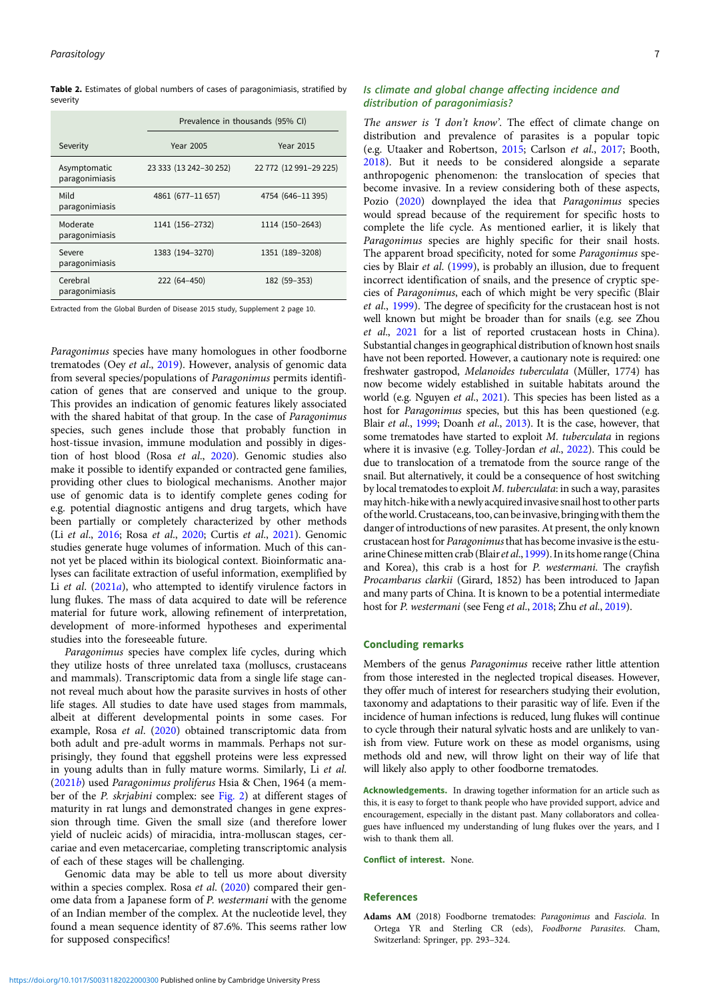<span id="page-6-0"></span>Table 2. Estimates of global numbers of cases of paragonimiasis, stratified by severity

|                                | Prevalence in thousands (95% CI) |                        |  |
|--------------------------------|----------------------------------|------------------------|--|
| Severity                       | <b>Year 2005</b>                 | <b>Year 2015</b>       |  |
| Asymptomatic<br>paragonimiasis | 23 333 (13 242-30 252)           | 22 772 (12 991-29 225) |  |
| Mild<br>paragonimiasis         | 4861 (677-11 657)                | 4754 (646-11395)       |  |
| Moderate<br>paragonimiasis     | 1141 (156-2732)                  | 1114 (150-2643)        |  |
| Severe<br>paragonimiasis       | 1383 (194-3270)                  | 1351 (189-3208)        |  |
| Cerebral<br>paragonimiasis     | 222 (64-450)                     | 182 (59-353)           |  |

Extracted from the Global Burden of Disease 2015 study, Supplement 2 page 10.

Paragonimus species have many homologues in other foodborne trematodes (Oey et al., [2019\)](#page-8-0). However, analysis of genomic data from several species/populations of Paragonimus permits identification of genes that are conserved and unique to the group. This provides an indication of genomic features likely associated with the shared habitat of that group. In the case of Paragonimus species, such genes include those that probably function in host-tissue invasion, immune modulation and possibly in digestion of host blood (Rosa et al., [2020\)](#page-8-0). Genomic studies also make it possible to identify expanded or contracted gene families, providing other clues to biological mechanisms. Another major use of genomic data is to identify complete genes coding for e.g. potential diagnostic antigens and drug targets, which have been partially or completely characterized by other methods (Li et al., [2016;](#page-8-0) Rosa et al., [2020;](#page-8-0) Curtis et al., [2021](#page-7-0)). Genomic studies generate huge volumes of information. Much of this cannot yet be placed within its biological context. Bioinformatic analyses can facilitate extraction of useful information, exemplified by Li et al. ([2021](#page-8-0)a), who attempted to identify virulence factors in lung flukes. The mass of data acquired to date will be reference material for future work, allowing refinement of interpretation, development of more-informed hypotheses and experimental studies into the foreseeable future.

Paragonimus species have complex life cycles, during which they utilize hosts of three unrelated taxa (molluscs, crustaceans and mammals). Transcriptomic data from a single life stage cannot reveal much about how the parasite survives in hosts of other life stages. All studies to date have used stages from mammals, albeit at different developmental points in some cases. For example, Rosa et al. [\(2020](#page-8-0)) obtained transcriptomic data from both adult and pre-adult worms in mammals. Perhaps not surprisingly, they found that eggshell proteins were less expressed in young adults than in fully mature worms. Similarly, Li et al. ([2021](#page-8-0)b) used Paragonimus proliferus Hsia & Chen, 1964 (a member of the P. skrjabini complex: see [Fig. 2\)](#page-3-0) at different stages of maturity in rat lungs and demonstrated changes in gene expression through time. Given the small size (and therefore lower yield of nucleic acids) of miracidia, intra-molluscan stages, cercariae and even metacercariae, completing transcriptomic analysis of each of these stages will be challenging.

Genomic data may be able to tell us more about diversity within a species complex. Rosa et al. [\(2020](#page-8-0)) compared their genome data from a Japanese form of P. westermani with the genome of an Indian member of the complex. At the nucleotide level, they found a mean sequence identity of 87.6%. This seems rather low for supposed conspecifics!

# Is climate and global change affecting incidence and distribution of paragonimiasis?

The answer is 'I don't know'. The effect of climate change on distribution and prevalence of parasites is a popular topic (e.g. Utaaker and Robertson, [2015;](#page-8-0) Carlson et al., [2017](#page-7-0); Booth, [2018](#page-7-0)). But it needs to be considered alongside a separate anthropogenic phenomenon: the translocation of species that become invasive. In a review considering both of these aspects, Pozio [\(2020\)](#page-8-0) downplayed the idea that Paragonimus species would spread because of the requirement for specific hosts to complete the life cycle. As mentioned earlier, it is likely that Paragonimus species are highly specific for their snail hosts. The apparent broad specificity, noted for some Paragonimus species by Blair et al. [\(1999](#page-7-0)), is probably an illusion, due to frequent incorrect identification of snails, and the presence of cryptic species of Paragonimus, each of which might be very specific (Blair et al., [1999\)](#page-7-0). The degree of specificity for the crustacean host is not well known but might be broader than for snails (e.g. see Zhou et al., [2021](#page-9-0) for a list of reported crustacean hosts in China). Substantial changes in geographical distribution of known host snails have not been reported. However, a cautionary note is required: one freshwater gastropod, Melanoides tuberculata (Müller, 1774) has now become widely established in suitable habitats around the world (e.g. Nguyen et al., [2021\)](#page-8-0). This species has been listed as a host for Paragonimus species, but this has been questioned (e.g. Blair et al., [1999](#page-7-0); Doanh et al., [2013\)](#page-7-0). It is the case, however, that some trematodes have started to exploit M. tuberculata in regions where it is invasive (e.g. Tolley-Jordan et al., [2022](#page-8-0)). This could be due to translocation of a trematode from the source range of the snail. But alternatively, it could be a consequence of host switching by local trematodes to exploit M. tuberculata: in such a way, parasites may hitch-hikewith a newlyacquiredinvasive snail host to other parts of theworld.Crustaceans, too, can beinvasive, bringingwith them the danger of introductions of new parasites. At present, the only known crustacean host for Paragonimusthat has become invasive is the estu-arine Chinese mitten crab (Blair et al., [1999\)](#page-7-0). In its home range (China and Korea), this crab is a host for P. westermani. The crayfish Procambarus clarkii (Girard, 1852) has been introduced to Japan and many parts of China. It is known to be a potential intermediate host for *P. westermani* (see Feng *et al.*, [2018](#page-7-0); Zhu *et al.*, [2019](#page-9-0)).

### Concluding remarks

Members of the genus Paragonimus receive rather little attention from those interested in the neglected tropical diseases. However, they offer much of interest for researchers studying their evolution, taxonomy and adaptations to their parasitic way of life. Even if the incidence of human infections is reduced, lung flukes will continue to cycle through their natural sylvatic hosts and are unlikely to vanish from view. Future work on these as model organisms, using methods old and new, will throw light on their way of life that will likely also apply to other foodborne trematodes.

Acknowledgements. In drawing together information for an article such as this, it is easy to forget to thank people who have provided support, advice and encouragement, especially in the distant past. Many collaborators and colleagues have influenced my understanding of lung flukes over the years, and I wish to thank them all.

Conflict of interest. None.

#### References

Adams AM (2018) Foodborne trematodes: Paragonimus and Fasciola. In Ortega YR and Sterling CR (eds), Foodborne Parasites. Cham, Switzerland: Springer, pp. 293–324.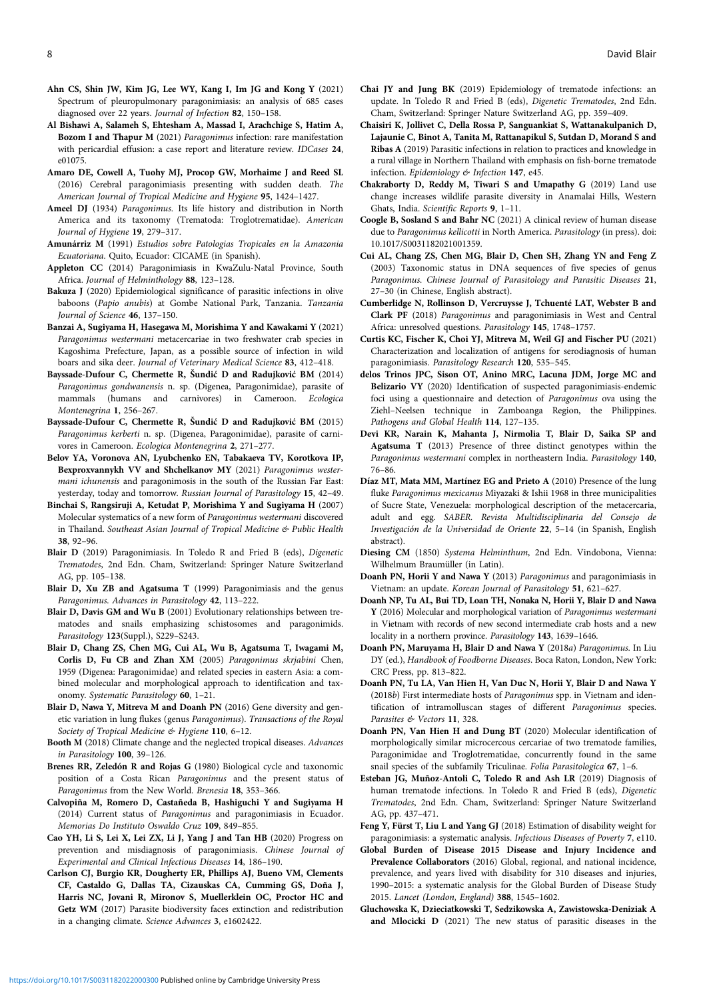- <span id="page-7-0"></span>Ahn CS, Shin JW, Kim JG, Lee WY, Kang I, Im JG and Kong Y (2021) Spectrum of pleuropulmonary paragonimiasis: an analysis of 685 cases diagnosed over 22 years. Journal of Infection 82, 150–158.
- Al Bishawi A, Salameh S, Ehtesham A, Massad I, Arachchige S, Hatim A, Bozom I and Thapur M (2021) Paragonimus infection: rare manifestation with pericardial effusion: a case report and literature review. IDCases 24, e01075.
- Amaro DE, Cowell A, Tuohy MJ, Procop GW, Morhaime J and Reed SL (2016) Cerebral paragonimiasis presenting with sudden death. The American Journal of Tropical Medicine and Hygiene 95, 1424–1427.
- Ameel DJ (1934) Paragonimus. Its life history and distribution in North America and its taxonomy (Trematoda: Troglotrematidae). American Journal of Hygiene 19, 279–317.
- Amunárriz M (1991) Estudios sobre Patologias Tropicales en la Amazonia Ecuatoriana. Quito, Ecuador: CICAME (in Spanish).
- Appleton CC (2014) Paragonimiasis in KwaZulu-Natal Province, South Africa. Journal of Helminthology 88, 123–128.
- Bakuza J (2020) Epidemiological significance of parasitic infections in olive baboons (Papio anubis) at Gombe National Park, Tanzania. Tanzania Journal of Science 46, 137–150.
- Banzai A, Sugiyama H, Hasegawa M, Morishima Y and Kawakami Y (2021) Paragonimus westermani metacercariae in two freshwater crab species in Kagoshima Prefecture, Japan, as a possible source of infection in wild boars and sika deer. Journal of Veterinary Medical Science 83, 412–418.
- Bayssade-Dufour C, Chermette R, Šundić D and Radujković BM (2014) Paragonimus gondwanensis n. sp. (Digenea, Paragonimidae), parasite of mammals (humans and carnivores) in Cameroon. Ecologica Montenegrina 1, 256–267.
- Bayssade-Dufour C, Chermette R, Šundić D and Radujković BM (2015) Paragonimus kerberti n. sp. (Digenea, Paragonimidae), parasite of carnivores in Cameroon. Ecologica Montenegrina 2, 271–277.
- Belov YA, Voronova AN, Lyubchenko EN, Tabakaeva TV, Korotkova IP, Bexproxvannykh VV and Shchelkanov MY (2021) Paragonimus westermani ichunensis and paragonimosis in the south of the Russian Far East: yesterday, today and tomorrow. Russian Journal of Parasitology 15, 42–49.
- Binchai S, Rangsiruji A, Ketudat P, Morishima Y and Sugiyama H (2007) Molecular systematics of a new form of Paragonimus westermani discovered in Thailand. Southeast Asian Journal of Tropical Medicine & Public Health 38, 92–96.
- Blair D (2019) Paragonimiasis. In Toledo R and Fried B (eds), Digenetic Trematodes, 2nd Edn. Cham, Switzerland: Springer Nature Switzerland AG, pp. 105–138.
- Blair D, Xu ZB and Agatsuma T (1999) Paragonimiasis and the genus Paragonimus. Advances in Parasitology 42, 113–222.
- Blair D, Davis GM and Wu B (2001) Evolutionary relationships between trematodes and snails emphasizing schistosomes and paragonimids. Parasitology 123(Suppl.), S229-S243.
- Blair D, Chang ZS, Chen MG, Cui AL, Wu B, Agatsuma T, Iwagami M, Corlis D, Fu CB and Zhan XM (2005) Paragonimus skrjabini Chen, 1959 (Digenea: Paragonimidae) and related species in eastern Asia: a combined molecular and morphological approach to identification and taxonomy. Systematic Parasitology 60, 1–21.
- Blair D, Nawa Y, Mitreva M and Doanh PN (2016) Gene diversity and genetic variation in lung flukes (genus Paragonimus). Transactions of the Royal Society of Tropical Medicine & Hygiene 110, 6-12.
- Booth M (2018) Climate change and the neglected tropical diseases. Advances in Parasitology 100, 39–126.
- Brenes RR, Zeledón R and Rojas G (1980) Biological cycle and taxonomic position of a Costa Rican Paragonimus and the present status of Paragonimus from the New World. Brenesia 18, 353–366.
- Calvopiña M, Romero D, Castañeda B, Hashiguchi Y and Sugiyama H (2014) Current status of Paragonimus and paragonimiasis in Ecuador. Memorias Do Instituto Oswaldo Cruz 109, 849–855.
- Cao YH, Li S, Lei X, Lei ZX, Li J, Yang J and Tan HB (2020) Progress on prevention and misdiagnosis of paragonimiasis. Chinese Journal of Experimental and Clinical Infectious Diseases 14, 186–190.
- Carlson CJ, Burgio KR, Dougherty ER, Phillips AJ, Bueno VM, Clements CF, Castaldo G, Dallas TA, Cizauskas CA, Cumming GS, Doña J, Harris NC, Jovani R, Mironov S, Muellerklein OC, Proctor HC and Getz WM (2017) Parasite biodiversity faces extinction and redistribution in a changing climate. Science Advances 3, e1602422.
- Chai JY and Jung BK (2019) Epidemiology of trematode infections: an update. In Toledo R and Fried B (eds), Digenetic Trematodes, 2nd Edn. Cham, Switzerland: Springer Nature Switzerland AG, pp. 359–409.
- Chaisiri K, Jollivet C, Della Rossa P, Sanguankiat S, Wattanakulpanich D, Lajaunie C, Binot A, Tanita M, Rattanapikul S, Sutdan D, Morand S and Ribas A (2019) Parasitic infections in relation to practices and knowledge in a rural village in Northern Thailand with emphasis on fish-borne trematode infection. Epidemiology & Infection 147, e45.
- Chakraborty D, Reddy M, Tiwari S and Umapathy G (2019) Land use change increases wildlife parasite diversity in Anamalai Hills, Western Ghats, India. Scientific Reports 9, 1–11.
- Coogle B, Sosland S and Bahr NC (2021) A clinical review of human disease due to Paragonimus kellicotti in North America. Parasitology (in press). doi: 10.1017/S0031182021001359.
- Cui AL, Chang ZS, Chen MG, Blair D, Chen SH, Zhang YN and Feng Z (2003) Taxonomic status in DNA sequences of five species of genus Paragonimus. Chinese Journal of Parasitology and Parasitic Diseases 21, 27–30 (in Chinese, English abstract).
- Cumberlidge N, Rollinson D, Vercruysse J, Tchuenté LAT, Webster B and Clark PF (2018) Paragonimus and paragonimiasis in West and Central Africa: unresolved questions. Parasitology 145, 1748–1757.
- Curtis KC, Fischer K, Choi YJ, Mitreva M, Weil GJ and Fischer PU (2021) Characterization and localization of antigens for serodiagnosis of human paragonimiasis. Parasitology Research 120, 535–545.
- delos Trinos JPC, Sison OT, Anino MRC, Lacuna JDM, Jorge MC and Belizario VY (2020) Identification of suspected paragonimiasis-endemic foci using a questionnaire and detection of Paragonimus ova using the Ziehl–Neelsen technique in Zamboanga Region, the Philippines. Pathogens and Global Health 114, 127–135.
- Devi KR, Narain K, Mahanta J, Nirmolia T, Blair D, Saika SP and Agatsuma T (2013) Presence of three distinct genotypes within the Paragonimus westermani complex in northeastern India. Parasitology 140, 76–86.
- Díaz MT, Mata MM, Martínez EG and Prieto A (2010) Presence of the lung fluke Paragonimus mexicanus Miyazaki & Ishii 1968 in three municipalities of Sucre State, Venezuela: morphological description of the metacercaria, adult and egg. SABER. Revista Multidisciplinaria del Consejo de Investigación de la Universidad de Oriente 22, 5–14 (in Spanish, English abstract).
- Diesing CM (1850) Systema Helminthum, 2nd Edn. Vindobona, Vienna: Wilhelmum Braumüller (in Latin).
- Doanh PN, Horii Y and Nawa Y (2013) Paragonimus and paragonimiasis in Vietnam: an update. Korean Journal of Parasitology 51, 621–627.
- Doanh NP, Tu AL, Bui TD, Loan TH, Nonaka N, Horii Y, Blair D and Nawa Y (2016) Molecular and morphological variation of Paragonimus westermani in Vietnam with records of new second intermediate crab hosts and a new locality in a northern province. Parasitology 143, 1639–1646.
- Doanh PN, Maruyama H, Blair D and Nawa Y (2018a) Paragonimus. In Liu DY (ed.), Handbook of Foodborne Diseases. Boca Raton, London, New York: CRC Press, pp. 813–822.
- Doanh PN, Tu LA, Van Hien H, Van Duc N, Horii Y, Blair D and Nawa Y (2018b) First intermediate hosts of Paragonimus spp. in Vietnam and identification of intramolluscan stages of different Paragonimus species. Parasites & Vectors 11, 328.
- Doanh PN, Van Hien H and Dung BT (2020) Molecular identification of morphologically similar microcercous cercariae of two trematode families, Paragonimidae and Troglotrematidae, concurrently found in the same snail species of the subfamily Triculinae. Folia Parasitologica 67, 1–6.
- Esteban JG, Muñoz-Antoli C, Toledo R and Ash LR (2019) Diagnosis of human trematode infections. In Toledo R and Fried B (eds), Digenetic Trematodes, 2nd Edn. Cham, Switzerland: Springer Nature Switzerland AG, pp. 437–471.
- Feng Y, Fürst T, Liu L and Yang GJ (2018) Estimation of disability weight for paragonimiasis: a systematic analysis. Infectious Diseases of Poverty 7, e110.
- Global Burden of Disease 2015 Disease and Injury Incidence and Prevalence Collaborators (2016) Global, regional, and national incidence, prevalence, and years lived with disability for 310 diseases and injuries, 1990–2015: a systematic analysis for the Global Burden of Disease Study 2015. Lancet (London, England) 388, 1545–1602.
- Gluchowska K, Dzieciatkowski T, Sedzikowska A, Zawistowska-Deniziak A and Mlocicki D (2021) The new status of parasitic diseases in the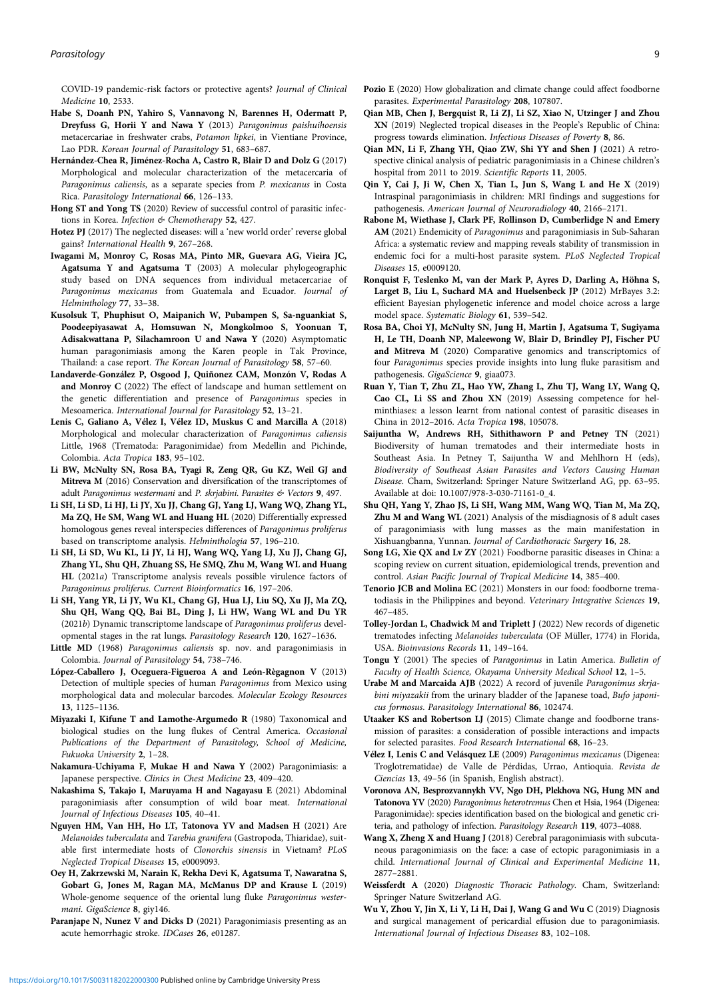<span id="page-8-0"></span>COVID-19 pandemic-risk factors or protective agents? Journal of Clinical Medicine 10, 2533.

- Habe S, Doanh PN, Yahiro S, Vannavong N, Barennes H, Odermatt P, Dreyfuss G, Horii Y and Nawa Y (2013) Paragonimus paishuihoensis metacercariae in freshwater crabs, Potamon lipkei, in Vientiane Province, Lao PDR. Korean Journal of Parasitology 51, 683–687.
- Hernández-Chea R, Jiménez-Rocha A, Castro R, Blair D and Dolz G (2017) Morphological and molecular characterization of the metacercaria of Paragonimus caliensis, as a separate species from P. mexicanus in Costa Rica. Parasitology International 66, 126–133.
- Hong ST and Yong TS (2020) Review of successful control of parasitic infections in Korea. Infection & Chemotherapy 52, 427.
- Hotez PJ (2017) The neglected diseases: will a 'new world order' reverse global gains? International Health 9, 267–268.
- Iwagami M, Monroy C, Rosas MA, Pinto MR, Guevara AG, Vieira JC, Agatsuma Y and Agatsuma T (2003) A molecular phylogeographic study based on DNA sequences from individual metacercariae of Paragonimus mexicanus from Guatemala and Ecuador. Journal of Helminthology 77, 33–38.
- Kusolsuk T, Phuphisut O, Maipanich W, Pubampen S, Sa-nguankiat S, Poodeepiyasawat A, Homsuwan N, Mongkolmoo S, Yoonuan T, Adisakwattana P, Silachamroon U and Nawa Y (2020) Asymptomatic human paragonimiasis among the Karen people in Tak Province, Thailand: a case report. The Korean Journal of Parasitology 58, 57–60.
- Landaverde-González P, Osgood J, Quiñonez CAM, Monzón V, Rodas A and Monroy C (2022) The effect of landscape and human settlement on the genetic differentiation and presence of Paragonimus species in Mesoamerica. International Journal for Parasitology 52, 13–21.
- Lenis C, Galiano A, Vélez I, Vélez ID, Muskus C and Marcilla A (2018) Morphological and molecular characterization of Paragonimus caliensis Little, 1968 (Trematoda: Paragonimidae) from Medellin and Pichinde, Colombia. Acta Tropica 183, 95–102.
- Li BW, McNulty SN, Rosa BA, Tyagi R, Zeng QR, Gu KZ, Weil GJ and Mitreva M (2016) Conservation and diversification of the transcriptomes of adult Paragonimus westermani and P. skrjabini. Parasites & Vectors 9, 497.
- Li SH, Li SD, Li HJ, Li JY, Xu JJ, Chang GJ, Yang LJ, Wang WQ, Zhang YL, Ma ZQ, He SM, Wang WL and Huang HL (2020) Differentially expressed homologous genes reveal interspecies differences of Paragonimus proliferus based on transcriptome analysis. Helminthologia 57, 196–210.
- Li SH, Li SD, Wu KL, Li JY, Li HJ, Wang WQ, Yang LJ, Xu JJ, Chang GJ, Zhang YL, Shu QH, Zhuang SS, He SMQ, Zhu M, Wang WL and Huang HL (2021a) Transcriptome analysis reveals possible virulence factors of Paragonimus proliferus. Current Bioinformatics 16, 197–206.
- Li SH, Yang YR, Li JY, Wu KL, Chang GJ, Hua LJ, Liu SQ, Xu JJ, Ma ZQ, Shu QH, Wang QQ, Bai BL, Ding J, Li HW, Wang WL and Du YR (2021b) Dynamic transcriptome landscape of Paragonimus proliferus developmental stages in the rat lungs. Parasitology Research 120, 1627–1636.
- Little MD (1968) Paragonimus caliensis sp. nov. and paragonimiasis in Colombia. Journal of Parasitology 54, 738–746.
- López-Caballero J, Oceguera-Figueroa A and León-Règagnon V (2013) Detection of multiple species of human Paragonimus from Mexico using morphological data and molecular barcodes. Molecular Ecology Resources 13, 1125–1136.
- Miyazaki I, Kifune T and Lamothe-Argumedo R (1980) Taxonomical and biological studies on the lung flukes of Central America. Occasional Publications of the Department of Parasitology, School of Medicine, Fukuoka University 2, 1–28.
- Nakamura-Uchiyama F, Mukae H and Nawa Y (2002) Paragonimiasis: a Japanese perspective. Clinics in Chest Medicine 23, 409–420.
- Nakashima S, Takajo I, Maruyama H and Nagayasu E (2021) Abdominal paragonimiasis after consumption of wild boar meat. International Journal of Infectious Diseases 105, 40–41.
- Nguyen HM, Van HH, Ho LT, Tatonova YV and Madsen H (2021) Are Melanoides tuberculata and Tarebia granifera (Gastropoda, Thiaridae), suitable first intermediate hosts of Clonorchis sinensis in Vietnam? PLoS Neglected Tropical Diseases 15, e0009093.
- Oey H, Zakrzewski M, Narain K, Rekha Devi K, Agatsuma T, Nawaratna S, Gobart G, Jones M, Ragan MA, McManus DP and Krause L (2019) Whole-genome sequence of the oriental lung fluke Paragonimus westermani. GigaScience 8, giy146.
- Paranjape N, Nunez V and Dicks D (2021) Paragonimiasis presenting as an acute hemorrhagic stroke. IDCases 26, e01287.
- Pozio E (2020) How globalization and climate change could affect foodborne parasites. Experimental Parasitology 208, 107807.
- Qian MB, Chen J, Bergquist R, Li ZJ, Li SZ, Xiao N, Utzinger J and Zhou XN (2019) Neglected tropical diseases in the People's Republic of China: progress towards elimination. Infectious Diseases of Poverty 8, 86.
- Qian MN, Li F, Zhang YH, Qiao ZW, Shi YY and Shen J (2021) A retrospective clinical analysis of pediatric paragonimiasis in a Chinese children's hospital from 2011 to 2019. Scientific Reports 11, 2005.
- Qin Y, Cai J, Ji W, Chen X, Tian L, Jun S, Wang L and He X (2019) Intraspinal paragonimiasis in children: MRI findings and suggestions for pathogenesis. American Journal of Neuroradiology 40, 2166–2171.
- Rabone M, Wiethase J, Clark PF, Rollinson D, Cumberlidge N and Emery AM (2021) Endemicity of Paragonimus and paragonimiasis in Sub-Saharan Africa: a systematic review and mapping reveals stability of transmission in endemic foci for a multi-host parasite system. PLoS Neglected Tropical Diseases 15, e0009120.
- Ronquist F, Teslenko M, van der Mark P, Ayres D, Darling A, Höhna S, Larget B, Liu L, Suchard MA and Huelsenbeck JP (2012) MrBayes 3.2: efficient Bayesian phylogenetic inference and model choice across a large model space. Systematic Biology 61, 539–542.
- Rosa BA, Choi YJ, McNulty SN, Jung H, Martin J, Agatsuma T, Sugiyama H, Le TH, Doanh NP, Maleewong W, Blair D, Brindley PJ, Fischer PU and Mitreva M (2020) Comparative genomics and transcriptomics of four Paragonimus species provide insights into lung fluke parasitism and pathogenesis. GigaScience 9, giaa073.
- Ruan Y, Tian T, Zhu ZL, Hao YW, Zhang L, Zhu TJ, Wang LY, Wang Q, Cao CL, Li SS and Zhou XN (2019) Assessing competence for helminthiases: a lesson learnt from national contest of parasitic diseases in China in 2012–2016. Acta Tropica 198, 105078.
- Saijuntha W, Andrews RH, Sithithaworn P and Petney TN (2021) Biodiversity of human trematodes and their intermediate hosts in Southeast Asia. In Petney T, Saijuntha W and Mehlhorn H (eds), Biodiversity of Southeast Asian Parasites and Vectors Causing Human Disease. Cham, Switzerland: Springer Nature Switzerland AG, pp. 63–95. Available at doi: 10.1007/978-3-030-71161-0\_4.
- Shu QH, Yang Y, Zhao JS, Li SH, Wang MM, Wang WQ, Tian M, Ma ZQ, Zhu M and Wang WL (2021) Analysis of the misdiagnosis of 8 adult cases of paragonimiasis with lung masses as the main manifestation in Xishuangbanna, Yunnan. Journal of Cardiothoracic Surgery 16, 28.
- Song LG, Xie QX and Lv ZY (2021) Foodborne parasitic diseases in China: a scoping review on current situation, epidemiological trends, prevention and control. Asian Pacific Journal of Tropical Medicine 14, 385–400.
- Tenorio JCB and Molina EC (2021) Monsters in our food: foodborne trematodiasis in the Philippines and beyond. Veterinary Integrative Sciences 19, 467–485.
- Tolley-Jordan L, Chadwick M and Triplett J (2022) New records of digenetic trematodes infecting Melanoides tuberculata (OF Müller, 1774) in Florida, USA. Bioinvasions Records 11, 149–164.
- Tongu Y (2001) The species of Paragonimus in Latin America. Bulletin of Faculty of Health Science, Okayama University Medical School 12, 1–5.
- Urabe M and Marcaida AJB (2022) A record of juvenile Paragonimus skrjabini miyazakii from the urinary bladder of the Japanese toad, Bufo japonicus formosus. Parasitology International 86, 102474.
- Utaaker KS and Robertson LJ (2015) Climate change and foodborne transmission of parasites: a consideration of possible interactions and impacts for selected parasites. Food Research International 68, 16–23.
- Vélez I, Lenis C and Velásquez LE (2009) Paragonimus mexicanus (Digenea: Troglotrematidae) de Valle de Pérdidas, Urrao, Antioquia. Revista de Ciencias 13, 49–56 (in Spanish, English abstract).
- Voronova AN, Besprozvannykh VV, Ngo DH, Plekhova NG, Hung MN and Tatonova YV (2020) Paragonimus heterotremus Chen et Hsia, 1964 (Digenea: Paragonimidae): species identification based on the biological and genetic criteria, and pathology of infection. Parasitology Research 119, 4073–4088.
- Wang X, Zheng X and Huang J (2018) Cerebral paragonimiasis with subcutaneous paragonimiasis on the face: a case of ectopic paragonimiasis in a child. International Journal of Clinical and Experimental Medicine 11, 2877–2881.
- Weissferdt A (2020) Diagnostic Thoracic Pathology. Cham, Switzerland: Springer Nature Switzerland AG.
- Wu Y, Zhou Y, Jin X, Li Y, Li H, Dai J, Wang G and Wu C (2019) Diagnosis and surgical management of pericardial effusion due to paragonimiasis. International Journal of Infectious Diseases 83, 102–108.